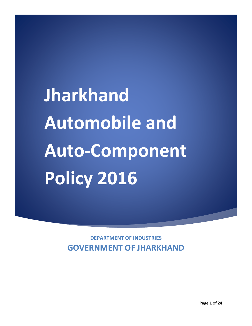**Jharkhand Automobile and Auto-Component Policy 2016** 

> **DEPARTMENT OF INDUSTRIES GOVERNMENT OF JHARKHAND**

i<br>I

Page **1** of **24**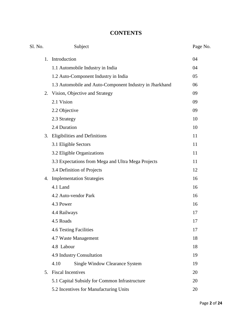# **CONTENTS**

| Sl. No. | Subject                                                 | Page No. |  |  |
|---------|---------------------------------------------------------|----------|--|--|
| 1.      | Introduction                                            |          |  |  |
|         | 1.1 Automobile Industry in India                        |          |  |  |
|         | 1.2 Auto-Component Industry in India                    | 05       |  |  |
|         | 1.3 Automobile and Auto-Component Industry in Jharkhand | 06       |  |  |
|         | 2. Vision, Objective and Strategy                       | 09       |  |  |
|         | 2.1 Vision                                              | 09       |  |  |
|         | 2.2 Objective                                           | 09       |  |  |
|         | 2.3 Strategy                                            | 10       |  |  |
|         | 2.4 Duration                                            | 10       |  |  |
|         | 3. Eligibilities and Definitions                        | 11       |  |  |
|         | 3.1 Eligible Sectors                                    | 11       |  |  |
|         | 3.2 Eligible Organizations                              | 11       |  |  |
|         | 3.3 Expectations from Mega and Ultra Mega Projects      | 11       |  |  |
|         | 3.4 Definition of Projects                              | 12       |  |  |
|         | 4. Implementation Strategies                            | 16       |  |  |
|         | 4.1 Land                                                | 16       |  |  |
|         | 4.2 Auto-vendor Park                                    | 16       |  |  |
|         | 4.3 Power                                               | 16       |  |  |
|         | 4.4 Railways                                            | 17       |  |  |
|         | 4.5 Roads                                               | 17       |  |  |
|         | 4.6 Testing Facilities                                  | 17       |  |  |
|         | 4.7 Waste Management                                    | 18       |  |  |
|         | 4.8 Labour                                              | 18       |  |  |
|         | 4.9 Industry Consultation                               |          |  |  |
|         | Single Window Clearance System<br>4.10                  | 19       |  |  |
|         | 5. Fiscal Incentives                                    | 20       |  |  |
|         | 5.1 Capital Subsidy for Common Infrastructure           | 20       |  |  |
|         | 5.2 Incentives for Manufacturing Units                  | 20       |  |  |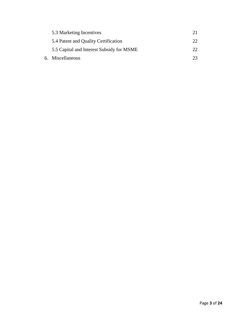| 5.3 Marketing Incentives                  | 21 |
|-------------------------------------------|----|
| 5.4 Patent and Quality Certification      | 22 |
| 5.5 Capital and Interest Subsidy for MSME | つつ |
| 6. Miscellaneous                          | 23 |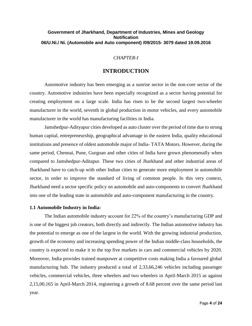# **Government of Jharkhand, Department of Industries, Mines and Geology Notification 06/U.Ni./ Ni. (Automobile and Auto component) /09/2015- 3079 dated 19.09.2016**

# *CHAPTER-I*

# **INTRODUCTION**

Automotive industry has been emerging as a sunrise sector in the non-core sector of the country. Automotive industries have been especially recognized as a sector having potential for creating employment on a large scale. India has risen to be the second largest two-wheeler manufacturer in the world, seventh in global production in motor vehicles, and every automobile manufacturer in the world has manufacturing facilities in India.

Jamshedpur-Adityapur cities developed as auto cluster over the period of time due to strong human capital, entrepreneurship, geographical advantage in the eastern India, quality educational institutions and presence of oldest automobile major of India- TATA Motors. However, during the same period, Chennai, Pune, Gurgoan and other cities of India have grown phenomenally when compared to Jamshedpur-Aditapur. These two cities of Jharkhand and other industrial areas of Jharkhand have to catch-up with other Indian cities to generate more employment in automobile sector, in order to improve the standard of living of common people. In this very context, Jharkhand need a sector specific policy on automobile and auto-components to convert Jharkhand into one of the leading state in automobile and auto-component manufacturing in the country.

#### **1.1 Automobile Industry in India:**

The Indian automobile industry account for 22% of the country's manufacturing GDP and is one of the biggest job creators, both directly and indirectly. The Indian automotive industry has the potential to emerge as one of the largest in the world. With the growing industrial production, growth of the economy and increasing spending power of the Indian middle-class households, the country is expected to make it to the top five markets in cars and commercial vehicles by 2020. Moreover, India provides trained manpower at competitive costs making India a favoured global manufacturing hub. The industry produced a total of 2,33,66,246 vehicles including passenger vehicles, commercial vehicles, three wheelers and two wheelers in April-March 2015 as against 2,15,00,165 in April-March 2014, registering a growth of 8.68 percent over the same period last year.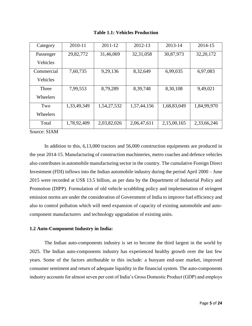| Category   | 2010-11     | 2011-12     | 2012-13     | 2013-14     | 2014-15     |
|------------|-------------|-------------|-------------|-------------|-------------|
|            |             |             |             |             |             |
| Passenger  | 29,82,772   | 31,46,069   | 32, 31, 058 | 30,87,973   | 32, 20, 172 |
|            |             |             |             |             |             |
| Vehicles   |             |             |             |             |             |
|            |             |             |             |             |             |
| Commercial | 7,60,735    | 9,29,136    | 8,32,649    | 6,99,035    | 6,97,083    |
|            |             |             |             |             |             |
| Vehicles   |             |             |             |             |             |
|            |             |             |             |             |             |
| Three      | 7,99,553    | 8,79,289    | 8,39,748    | 8,30,108    | 9,49,021    |
|            |             |             |             |             |             |
| Wheelers   |             |             |             |             |             |
|            |             |             |             |             |             |
| Two        | 1,33,49,349 | 1,54,27,532 | 1,57,44,156 | 1,68,83,049 | 1,84,99,970 |
|            |             |             |             |             |             |
| Wheelers   |             |             |             |             |             |
|            |             |             |             |             |             |
| Total      | 1,78,92,409 | 2,03,82,026 | 2,06,47,611 | 2,15,00,165 | 2,33,66,246 |
|            |             |             |             |             |             |
|            |             |             |             |             |             |

**Table 1.1: Vehicles Production**

Source: SIAM

In addition to this, 6,13,000 tractors and 56,000 construction equipments are produced in the year 2014-15. Manufacturing of construction machineries, metro coaches and defence vehicles also contributes in automobile manufacturing sector in the country. The cumulative Foreign Direct Investment (FDI) inflows into the Indian automobile industry during the period April 2000 – June 2015 were recorded at US\$ 13.5 billion, as per data by the Department of Industrial Policy and Promotion (DIPP). Formulation of old vehicle scrabbling policy and implemenation of stringent emission norms are under the consideration of Government of India to improve fuel efficiency and also to control pollution which will need expansion of capacity of existing automobile and autocomponent manufacturers and technology upgradation of existing units.

### **1.2 Auto-Component Industry in India:**

The Indian auto-components industry is set to become the third largest in the world by 2025. The Indian auto-components industry has experienced healthy growth over the last few years. Some of the factors attributable to this include: a buoyant end-user market, improved consumer sentiment and return of adequate liquidity in the financial system. The auto-components industry accounts for almost seven per cent of India's Gross Domestic Product (GDP) and employs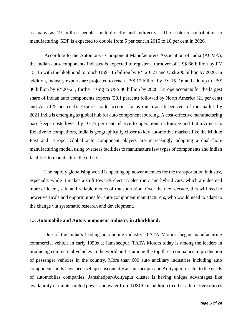as many as 19 million people, both directly and indirectly. The sector's contribution to manufacturing GDP is expected to double from 5 per cent in 2015 to 10 per cent in 2026.

According to the Automotive Component Manufacturers Association of India (ACMA), the Indian auto-components industry is expected to register a turnover of US\$ 66 billion by FY 15–16 with the likelihood to touch US\$ 115 billion by FY 20–21 and US\$ 200 billion by 2026. In addition, industry exports are projected to reach US\$ 12 billion by FY 15–16 and add up to US\$ 30 billion by FY20–21, further rising to US\$ 80 billion by 2026. Europe accounts for the largest share of Indian auto components exports (38.1 percent) followed by North America (21 per cent) and Asia (25 per cent). Exports could account for as much as 26 per cent of the market by 2021.India is emerging as global hub for auto component sourcing. A cost-effective manufacturing base keeps costs lower by 10-25 per cent relative to operations in Europe and Latin America. Relative to competitors, India is geographically closer to key automotive markets like the Middle East and Europe. Global auto component players are increasingly adopting a dual-shore manufacturing model, using overseas facilities to manufacture few types of components and Indian facilities to manufacture the others.

The rapidly globalising world is opening up newer avenues for the transportation industry, especially while it makes a shift towards electric, electronic and hybrid cars, which are deemed more efficient, safe and reliable modes of transportation. Over the next decade, this will lead to newer verticals and opportunities for auto-component manufacturers, who would need to adapt to the change via systematic research and development.

#### **1.3 Automobile and Auto-Component Industry in Jharkhand:**

One of the India's leading automobile industry- TATA Motors- began manufacturing commercial vehicle in early 1950s at Jamshedpur. TATA Motors today is among the leaders in producing commercial vehicles in the world and is among the top three companies in production of passenger vehicles in the country. More than 600 auto ancillary industries including auto components units have been set up subsequently at Jamshedpur and Adityapur to cater to the needs of automobiles companies. Jamshedpur-Adityapur cluster is having unique advantages like availability of uninterrupted power and water from JUSCO in addition to other alternative sources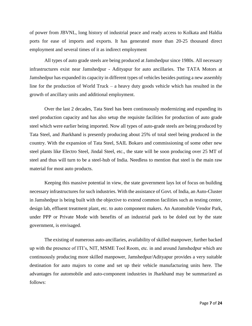of power from JBVNL, long history of industrial peace and ready access to Kolkata and Haldia ports for ease of imports and exports. It has generated more than 20-25 thousand direct employment and several times of it as indirect employment

All types of auto grade steels are being produced at Jamshedpur since 1980s. All necessary infrastructures exist near Jamshedpur - Adityapur for auto ancillaries. The TATA Motors at Jamshedpur has expanded its capacity in different types of vehicles besides putting a new assembly line for the production of World Truck – a heavy duty goods vehicle which has resulted in the growth of ancillary units and additional employment.

Over the last 2 decades, Tata Steel has been continuously modernizing and expanding its steel production capacity and has also setup the requisite facilities for production of auto grade steel which were earlier being imported. Now all types of auto-grade steels are being produced by Tata Steel, and Jharkhand is presently producing about 25% of total steel being produced in the country. With the expansion of Tata Steel, SAIL Bokaro and commissioning of some other new steel plants like Electro Steel, Jindal Steel, etc., the state will be soon producing over 25 MT of steel and thus will turn to be a steel-hub of India. Needless to mention that steel is the main raw material for most auto products.

Keeping this massive potential in view, the state government lays lot of focus on building necessary infrastructures for such industries. With the assistance of Govt. of India, an Auto-Cluster in Jamshedpur is being built with the objective to extend common facilities such as testing center, design lab, effluent treatment plant, etc. to auto component makers. An Automobile Vendor Park, under PPP or Private Mode with benefits of an industrial park to be doled out by the state government, is envisaged.

The existing of numerous auto-ancillaries, availability of skilled manpower, further backed up with the presence of ITI's, NIT, MSME Tool Room, etc. in and around Jamshedpur which are continuously producing more skilled manpower, Jamshedpur/Adityapur provides a very suitable destination for auto majors to come and set up their vehicle manufacturing units here. The advantages for automobile and auto-component industries in Jharkhand may be summarized as follows: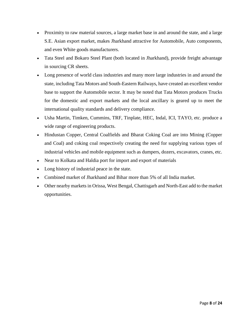- Proximity to raw material sources, a large market base in and around the state, and a large S.E. Asian export market, makes Jharkhand attractive for Automobile, Auto components, and even White goods manufacturers.
- Tata Steel and Bokaro Steel Plant (both located in Jharkhand), provide freight advantage in sourcing CR sheets.
- Long presence of world class industries and many more large industries in and around the state, including Tata Motors and South-Eastern Railways, have created an excellent vendor base to support the Automobile sector. It may be noted that Tata Motors produces Trucks for the domestic and export markets and the local ancillary is geared up to meet the international quality standards and delivery compliance.
- Usha Martin, Timken, Cummins, TRF, Tinplate, HEC, Indal, ICI, TAYO, etc. produce a wide range of engineering products.
- Hindustan Copper, Central Coalfields and Bharat Coking Coal are into Mining (Copper and Coal) and coking coal respectively creating the need for supplying various types of industrial vehicles and mobile equipment such as dumpers, dozers, excavators, cranes, etc.
- Near to Kolkata and Haldia port for import and export of materials
- Long history of industrial peace in the state.
- Combined market of Jharkhand and Bihar more than 5% of all India market.
- Other nearby markets in Orissa, West Bengal, Chattisgarh and North-East add to the market opportunities.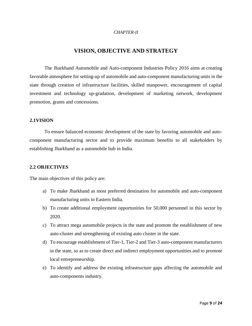### *CHAPTER-II*

# **VISION, OBJECTIVE AND STRATEGY**

The Jharkhand Automobile and Auto-component Industries Policy 2016 aims at creating favorable atmosphere for setting-up of automobile and auto-component manufacturing units in the state through creation of infrastructure facilities, skilled manpower, encouragement of capital investment and technology up-gradation, development of marketing network, development promotion, grants and concessions.

# **2.1VISION**

To ensure balanced economic development of the state by favoring automobile and autocomponent manufacturing sector and to provide maximum benefits to all stakeholders by establishing Jharkhand as a automobile hub in India.

#### **2.2 OBJECTIVES**

The main objectives of this policy are:

- a) To make Jharkhand as most preferred destination for automobile and auto-component manufacturing units in Eastern India.
- b) To create additional employment opportunities for 50,000 personnel in this sector by 2020.
- c) To attract mega automobile projects in the state and promote the establishment of new auto-cluster and strengthening of existing auto cluster in the state.
- d) To encourage establishment of Tier-1, Tier-2 and Tier-3 auto-component manufacturers in the state, so as to create direct and indirect employment opportunities and to promote local entrepreneurship.
- e) To identify and address the existing infrastructure gaps affecting the automobile and auto-components industry.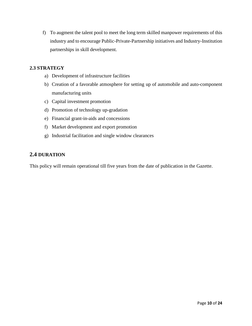f) To augment the talent pool to meet the long term skilled manpower requirements of this industry and to encourage Public-Private-Partnership initiatives and Industry-Institution partnerships in skill development.

# **2.3 STRATEGY**

- a) Development of infrastructure facilities
- b) Creation of a favorable atmosphere for setting up of automobile and auto-component manufacturing units
- c) Capital investment promotion
- d) Promotion of technology up-gradation
- e) Financial grant-in-aids and concessions
- f) Market development and export promotion
- g) Industrial facilitation and single window clearances

# **2.4 DURATION**

This policy will remain operational till five years from the date of publication in the Gazette.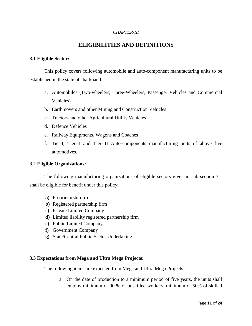# *CHAPTER-III*

# **ELIGIBILITIES AND DEFINITIONS**

# **3.1 Eligible Sector:**

This policy covers following automobile and auto-component manufacturing units to be established in the state of Jharkhand:

- a. Automobiles (Two-wheelers, Three-Wheelers, Passenger Vehicles and Commercial Vehicles)
- b. Earthmovers and other Mining and Construction Vehicles
- c. Tractors and other Agricultural Utility Vehicles
- d. Defence Vehicles
- e. Railway Equipments, Wagons and Coaches
- f. Tier-I, Tier-II and Tier-III Auto-components manufacturing units of above five automotives.

### **3.2 Eligible Organizations:**

The following manufacturing organizations of eligible sectors given in sub-section 3.1 shall be eligible for benefit under this policy:

- **a)** Proprietorship firm
- **b)** Registered partnership firm
- **c)** Private Limited Company
- **d)** Limited liability registered partnership firm
- **e)** Public Limited Company
- **f)** Government Company
- **g)** State/Central Public Sector Undertaking

# **3.3 Expectations from Mega and Ultra Mega Projects:**

The following items are expected from Mega and Ultra Mega Projects:

a. On the date of production to a minimum period of five years, the units shall employ minimum of 90 % of unskilled workers, minimum of 50% of skilled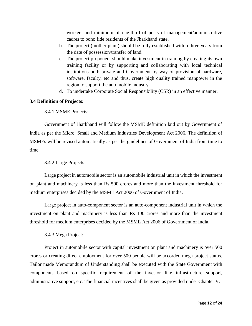workers and minimum of one-third of posts of management/administrative cadres to bono fide residents of the Jharkhand state.

- b. The project (mother plant) should be fully established within three years from the date of possession/transfer of land.
- c. The project proponent should make investment in training by creating its own training facility or by supporting and collaborating with local technical institutions both private and Government by way of provision of hardware, software, faculty, etc and thus, create high quality trained manpower in the region to support the automobile industry.
- d. To undertake Corporate Social Responsibility (CSR) in an effective manner.

# **3.4 Definition of Projects:**

3.4.1 MSME Projects:

Government of Jharkhand will follow the MSME definition laid out by Government of India as per the Micro, Small and Medium Industries Development Act 2006. The definition of MSMEs will be revised automatically as per the guidelines of Government of India from time to time.

3.4.2 Large Projects:

Large project in automobile sector is an automobile industrial unit in which the investment on plant and machinery is less than Rs 500 crores and more than the investment threshold for medium enterprises decided by the MSME Act 2006 of Government of India.

Large project in auto-component sector is an auto-component industrial unit in which the investment on plant and machinery is less than Rs 100 crores and more than the investment threshold for medium enterprises decided by the MSME Act 2006 of Government of India.

3.4.3 Mega Project:

Project in automobile sector with capital investment on plant and machinery is over 500 crores or creating direct employment for over 500 people will be accorded mega project status. Tailor made Memorandum of Understanding shall be executed with the State Government with components based on specific requirement of the investor like infrastructure support, administrative support, etc. The financial incentives shall be given as provided under Chapter V.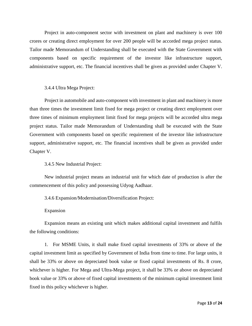Project in auto-component sector with investment on plant and machinery is over 100 crores or creating direct employment for over 200 people will be accorded mega project status. Tailor made Memorandum of Understanding shall be executed with the State Government with components based on specific requirement of the investor like infrastructure support, administrative support, etc. The financial incentives shall be given as provided under Chapter V.

### 3.4.4 Ultra Mega Project:

Project in automobile and auto-component with investment in plant and machinery is more than three times the investment limit fixed for mega project or creating direct employment over three times of minimum employment limit fixed for mega projects will be accorded ultra mega project status. Tailor made Memorandum of Understanding shall be executed with the State Government with components based on specific requirement of the investor like infrastructure support, administrative support, etc. The financial incentives shall be given as provided under Chapter V.

3.4.5 New Industrial Project:

New industrial project means an industrial unit for which date of production is after the commencement of this policy and possessing Udyog Aadhaar.

3.4.6 Expansion/Modernisation/Diversification Project:

Expansion

Expansion means an existing unit which makes additional capital investment and fulfils the following conditions:

1. For MSME Units, it shall make fixed capital investments of 33% or above of the capital investment limit as specified by Government of India from time to time. For large units, it shall be 33% or above on depreciated book value or fixed capital investments of Rs. 8 crore, whichever is higher. For Mega and Ultra-Mega project, it shall be 33% or above on depreciated book value or 33% or above of fixed capital investments of the minimum capital investment limit fixed in this policy whichever is higher.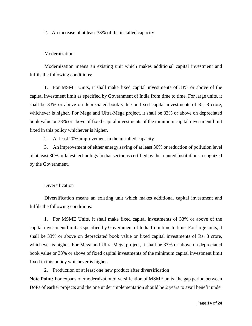2. An increase of at least 33% of the installed capacity

### **Modernization**

Modernization means an existing unit which makes additional capital investment and fulfils the following conditions:

1. For MSME Units, it shall make fixed capital investments of 33% or above of the capital investment limit as specified by Government of India from time to time. For large units, it shall be 33% or above on depreciated book value or fixed capital investments of Rs. 8 crore, whichever is higher. For Mega and Ultra-Mega project, it shall be 33% or above on depreciated book value or 33% or above of fixed capital investments of the minimum capital investment limit fixed in this policy whichever is higher.

2. At least 20% improvement in the installed capacity

3. An improvement of either energy saving of at least 30% or reduction of pollution level of at least 30% or latest technology in that sector as certified by the reputed institutions recognized by the Government.

# Diversification

Diversification means an existing unit which makes additional capital investment and fulfils the following conditions:

1. For MSME Units, it shall make fixed capital investments of 33% or above of the capital investment limit as specified by Government of India from time to time. For large units, it shall be 33% or above on depreciated book value or fixed capital investments of Rs. 8 crore, whichever is higher. For Mega and Ultra-Mega project, it shall be 33% or above on depreciated book value or 33% or above of fixed capital investments of the minimum capital investment limit fixed in this policy whichever is higher.

2. Production of at least one new product after diversification

**Note Point:** For expansion/modernization/diversification of MSME units, the gap period between DoPs of earlier projects and the one under implementation should be 2 years to avail benefit under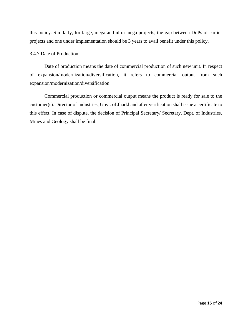this policy. Similarly, for large, mega and ultra mega projects, the gap between DoPs of earlier projects and one under implementation should be 3 years to avail benefit under this policy.

# 3.4.7 Date of Production:

Date of production means the date of commercial production of such new unit. In respect of expansion/modernization/diversification, it refers to commercial output from such expansion/modernization/diversification.

Commercial production or commercial output means the product is ready for sale to the customer(s). Director of Industries, Govt. of Jharkhand after verification shall issue a certificate to this effect. In case of dispute, the decision of Principal Secretary/ Secretary, Dept. of Industries, Mines and Geology shall be final.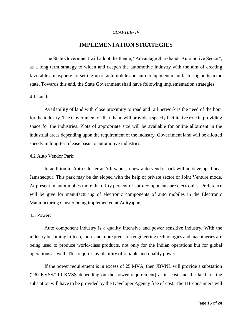### *CHAPTER- IV*

# **IMPLEMENTATION STRATEGIES**

The State Government will adopt the theme, "Advantage Jharkhand- Automotive Sector", as a long term strategy to widen and deepen the automotive industry with the aim of creating favorable atmosphere for setting-up of automobile and auto-component manufacturing units in the state. Towards this end, the State Government shall have following implementation strategies.

#### 4.1 Land:

Availability of land with close proximity to road and rail network is the need of the hour for the industry. The Government of Jharkhand will provide a speedy facilitative role in providing space for the industries. Plots of appropriate size will be available for online allotment in the industrial areas depending upon the requirement of the industry. Government land will be allotted speedy in long-term lease basis to automotive industries.

### 4.2 Auto Vendor Park:

In addition to Auto Cluster at Adityapur, a new auto vendor park will be developed near Jamshedpur. This park may be developed with the help of private sector or Joint Venture mode. At present in automobiles more than fifty percent of auto-components are electronics. Preference will be give for manufacturing of electronic components of auto mobiles in the Electronic Manufacturing Cluster being implemented at Adityapur.

#### 4.3 Power:

Auto component industry is a quality intensive and power sensitive industry. With the industry becoming hi-tech, more and more precision engineering technologies and machineries are being used to produce world-class products, not only for the Indian operations but for global operations as well. This requires availability of reliable and quality power.

If the power requirement is in excess of 25 MVA, then JBVNL will provide a substation (230 KVSS/110 KVSS depending on the power requirement) at its cost and the land for the substation will have to be provided by the Developer Agency free of cost. The HT consumers will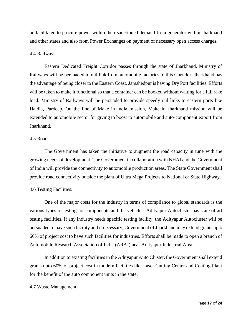be facilitated to procure power within their sanctioned demand from generator within Jharkhand and other states and also from Power Exchanges on payment of necessary open access charges.

#### 4.4 Railways:

Eastern Dedicated Freight Corridor passes through the state of Jharkhand. Ministry of Railways will be persuaded to rail link from automobile factories to this Corridor. Jharkhand has the advantage of being closer to the Eastern Coast. Jamshedpur is having Dry Port facilities. Efforts will be taken to make it functional so that a container can be booked without waiting for a full rake load. Ministry of Railways will be persuaded to provide speedy rail links to eastern ports like Haldia, Pardeep. On the line of Make in India mission, Make in Jharkhand mission will be extended to automobile sector for giving to boost to automobile and auto-component export from Jharkhand.

# 4.5 Roads:

The Government has taken the initiative to augment the road capacity in tune with the growing needs of development. The Government in collaboration with NHAI and the Government of India will provide the connectivity to automobile production areas. The State Government shall provide road connectivity outside the plant of Ultra Mega Projects to National or State Highway.

#### 4.6 Testing Facilities:

One of the major costs for the industry in terms of compliance to global standards is the various types of testing for components and the vehicles. Adityapur Autocluster has state of art testing facilities. If any industry needs specific testing facility, the Adityapur Autocluster will be persuaded to have such facility and if necessary, Government of Jharkhand may extend grants upto 60% of project cost to have such facilities for industries. Efforts shall be made to open a branch of Automobile Research Association of India (ARAI) near Adityapur Industrial Area.

In addition to existing facilities in the Adityapur Auto Cluster, the Government shall extend grants upto 60% of project cost in modern facilities like Laser Cutting Center and Coating Plant for the benefit of the auto component units in the state.

#### 4.7 Waste Management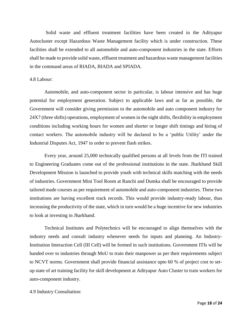Solid waste and effluent treatment facilities have been created in the Adityapur Autocluster except Hazardous Waste Management facility which is under construction. These facilities shall be extended to all automobile and auto-component industries in the state. Efforts shall be made to provide solid waste, effluent treatment and hazardous waste management facilities in the command areas of RIADA, BIADA and SPIADA.

### 4.8 Labour:

Automobile, and auto-component sector in particular, is labour intensive and has huge potential for employment generation. Subject to applicable laws and as far as possible, the Government will consider giving permission to the automobile and auto component industry for 24X7 (three shifts) operations, employment of women in the night shifts, flexibility in employment conditions including working hours for women and shorter or longer shift timings and hiring of contact workers. The automobile industry will be declared to be a 'public Utility' under the Industrial Disputes Act, 1947 in order to prevent flash strikes.

Every year, around 25,000 technically qualified persons at all levels from the ITI trained to Engineering Graduates come out of the professional institutions in the state. Jharkhand Skill Development Mission is launched to provide youth with technical skills matching with the needs of industries. Government Mini Tool Room at Ranchi and Dumka shall be encouraged to provide tailored made courses as per requirement of automobile and auto-component industries. These two institutions are having excellent track records. This would provide industry-ready labour, thus increasing the productivity of the state, which in turn would be a huge incentive for new industries to look at investing in Jharkhand.

Technical Institutes and Polytechnics will be encouraged to align themselves with the industry needs and consult industry whenever needs for inputs and planning. An Industry-Institution Interaction Cell (III Cell) will be formed in such institutions. Government ITIs will be handed over to industries through MoU to train their manpower as per their requirements subject to NCVT norms. Government shall provide financial assistance upto 60 % of project cost to setup state of art training facility for skill development at Adityapur Auto Cluster to train workers for auto-component industry.

### 4.9 Industry Consultation: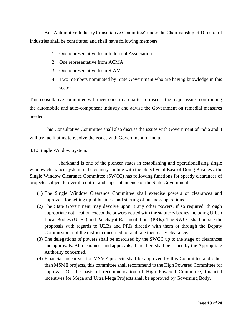An "Automotive Industry Consultative Committee" under the Chairmanship of Director of Industries shall be constituted and shall have following members

- 1. One representative from Industrial Association
- 2. One representative from ACMA
- 3. One representative from SIAM
- 4. Two members nominated by State Government who are having knowledge in this sector

This consultative committee will meet once in a quarter to discuss the major issues confronting the automobile and auto-component industry and advise the Government on remedial measures needed.

This Consultative Committee shall also discuss the issues with Government of India and it will try facilitating to resolve the issues with Government of India.

# 4.10 Single Window System:

Jharkhand is one of the pioneer states in establishing and operationalising single window clearance system in the country. In line with the objective of Ease of Doing Business, the Single Window Clearance Committee (SWCC) has following functions for speedy clearances of projects, subject to overall control and superintendence of the State Government:

- (1) The Single Window Clearance Committee shall exercise powers of clearances and approvals for setting up of business and starting of business operations.
- (2) The State Government may devolve upon it any other powers, if so required, through appropriate notification except the powers vested with the statutory bodies including Urban Local Bodies (ULBs) and Panchayat Raj Institutions (PRIs). The SWCC shall pursue the proposals with regards to ULBs and PRIs directly with them or through the Deputy Commissioner of the district concerned to facilitate their early clearance.
- (3) The delegations of powers shall be exercised by the SWCC up to the stage of clearances and approvals. All clearances and approvals, thereafter, shall be issued by the Appropriate Authority concerned.
- (4) Financial incentives for MSME projects shall be approved by this Committee and other than MSME projects, this committee shall recommend to the High Powered Committee for approval. On the basis of recommendation of High Powered Committee, financial incentives for Mega and Ultra Mega Projects shall be approved by Governing Body.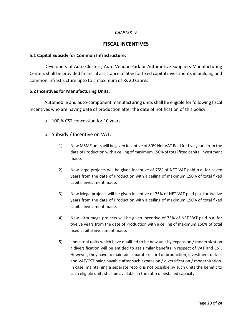## *CHAPTER- V*

# **FISCAL INCENTIVES**

# **5.1 Capital Subsidy for Common Infrastructure:**

Developers of Auto Clusters, Auto Vendor Park or Automotive Suppliers Manufacturing Centers shall be provided financial assistance of 50% for fixed capital investments in building and common infrastructure upto to a maximum of Rs 20 Crores.

# **5.2 Incentives for Manufacturing Units:**

Automobile and auto-component manufacturing units shall be eligible for following fiscal incentives who are having date of production after the date of notification of this policy.

- a. 100 % CST concession for 10 years .
- b. Subsidy / Incentive on VAT:
	- 1) New MSME units will be given incentive of 80% Net VAT Paid for five years from the date of Production with a ceiling of maximum 150% of total fixed capital investment made.
	- 2) New large projects will be given incentive of 75% of NET VAT paid p.a. for seven years from the date of Production with a ceiling of maximum 150% of total fixed capital investment made.
	- 3) New Mega projects will be given incentive of 75% of NET VAT paid p.a. for twelve years from the date of Production with a ceiling of maximum 150% of total fixed capital investment made.
	- 4) New ultra mega projects will be given incentive of 75% of NET VAT paid p.a. for twelve years from the date of Production with a ceiling of maximum 150% of total fixed capital investment made.
	- 5) Industrial units which have qualified to be new unit by expansion / modernization / diversification will be entitled to get similar benefits in respect of VAT and CST. However, they have to maintain separate record of production, investment details and VAT/CST paid/ payable after such expansion / diversification / modernization. In case, maintaining a separate record is not possible by such units the benefit to such eligible units shall be available in the ratio of installed capacity.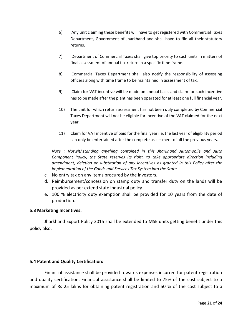- 6) Any unit claiming these benefits will have to get registered with Commercial Taxes Department, Government of Jharkhand and shall have to file all their statutory returns.
- 7) Department of Commercial Taxes shall give top priority to such units in matters of final assessment of annual tax return in a specific time frame.
- 8) Commercial Taxes Department shall also notify the responsibility of assessing officers along with time frame to be maintained in assessment of tax.
- 9) Claim for VAT incentive will be made on annual basis and claim for such incentive has to be made after the plant has been operated for at least one full financial year.
- 10) The unit for which return assessment has not been duly completed by Commercial Taxes Department will not be eligible for incentive of the VAT claimed for the next year.
- 11) Claim for VAT incentive of paid for the final year i.e. the last year of eligibility period can only be entertained after the complete assessment of all the previous years.

*Note : Notwithstanding anything contained in this Jharkhand Automobile and Auto Component Policy, the State reserves its right, to take appropriate direction including amendment, deletion or substitution of any incentives as granted in this Policy after the implementation of the Goods and Services Tax System into the State.*

- c. No entry tax on any items procured by the investors.
- d. Reimbursement/concession on stamp duty and transfer duty on the lands will be provided as per extend state industrial policy.
- e. 100 % electricity duty exemption shall be provided for 10 years from the date of production.

# **5.3 Marketing Incentives:**

Jharkhand Export Policy 2015 shall be extended to MSE units getting benefit under this policy also.

# **5.4 Patent and Quality Certification:**

Financial assistance shall be provided towards expenses incurred for patent registration and quality certification. Financial assistance shall be limited to 75% of the cost subject to a maximum of Rs 25 lakhs for obtaining patent registration and 50 % of the cost subject to a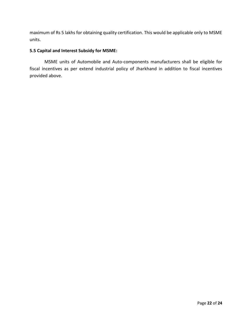maximum of Rs 5 lakhs for obtaining quality certification. This would be applicable only to MSME units.

# **5.5 Capital and Interest Subsidy for MSME:**

MSME units of Automobile and Auto-components manufacturers shall be eligible for fiscal incentives as per extend industrial policy of Jharkhand in addition to fiscal incentives provided above.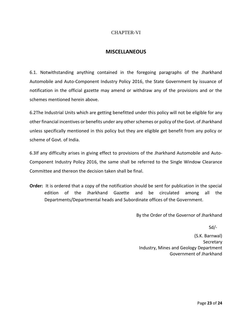# CHAPTER-VI

# **MISCELLANEOUS**

6.1. Notwithstanding anything contained in the foregoing paragraphs of the Jharkhand Automobile and Auto-Component Industry Policy 2016, the State Government by issuance of notification in the official gazette may amend or withdraw any of the provisions and or the schemes mentioned herein above.

6.2The Industrial Units which are getting benefitted under this policy will not be eligible for any other financial incentives or benefits under any other schemes or policy of the Govt. of Jharkhand unless specifically mentioned in this policy but they are eligible get benefit from any policy or scheme of Govt. of India.

6.3If any difficulty arises in giving effect to provisions of the Jharkhand Automobile and Auto-Component Industry Policy 2016, the same shall be referred to the Single Window Clearance Committee and thereon the decision taken shall be final.

**Order:** It is ordered that a copy of the notification should be sent for publication in the special edition of the Jharkhand Gazette and be circulated among all the Departments/Departmental heads and Subordinate offices of the Government.

By the Order of the Governor of Jharkhand

Sd/-

(S.K. Barnwal) Secretary Industry, Mines and Geology Department Government of Jharkhand